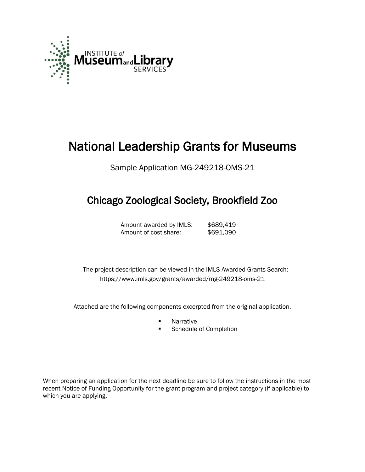

# National Leadership Grants for Museums

Sample Application MG-249218-OMS-21

## Chicago Zoological Society, Brookfield Zoo

Amount awarded by IMLS: \$689,419 Amount of cost share: \$691,090

 The project description can be viewed in the IMLS Awarded Grants Search: <https://www.imls.gov/grants/awarded/mg-249218-oms-21>

Attached are the following components excerpted from the original application.

- **Narrative**
- Schedule of Completion

When preparing an application for the next deadline be sure to follow the instructions in the most recent Notice of Funding Opportunity for the grant program and project category (if applicable) to which you are applying.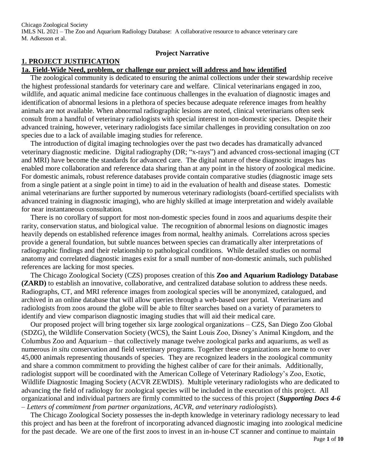#### **Project Narrative**

## **1. PROJECT JUSTIFICATION**

## **1a. Field-Wide Need, problem, or challenge our project will address and how identified**

The zoological community is dedicated to ensuring the animal collections under their stewardship receive the highest professional standards for veterinary care and welfare. Clinical veterinarians engaged in zoo, wildlife, and aquatic animal medicine face continuous challenges in the evaluation of diagnostic images and identification of abnormal lesions in a plethora of species because adequate reference images from healthy animals are not available. When abnormal radiographic lesions are noted, clinical veterinarians often seek consult from a handful of veterinary radiologists with special interest in non-domestic species. Despite their advanced training, however, veterinary radiologists face similar challenges in providing consultation on zoo species due to a lack of available imaging studies for reference.

 The introduction of digital imaging technologies over the past two decades has dramatically advanced veterinary diagnostic medicine. Digital radiography (DR; "x-rays") and advanced cross-sectional imaging (CT and MRI) have become the standards for advanced care. The digital nature of these diagnostic images has enabled more collaboration and reference data sharing than at any point in the history of zoological medicine. For domestic animals, robust reference databases provide contain comparative studies (diagnostic image sets from a single patient at a single point in time) to aid in the evaluation of health and disease states. Domestic animal veterinarians are further supported by numerous veterinary radiologists (board-certified specialists with advanced training in diagnostic imaging), who are highly skilled at image interpretation and widely available for near instantaneous consultation.

 There is no corollary of support for most non-domestic species found in zoos and aquariums despite their rarity, conservation status, and biological value. The recognition of abnormal lesions on diagnostic images heavily depends on established reference images from normal, healthy animals. Correlations across species provide a general foundation, but subtle nuances between species can dramatically alter interpretations of radiographic findings and their relationship to pathological conditions. While detailed studies on normal anatomy and correlated diagnostic images exist for a small number of non-domestic animals, such published references are lacking for most species.

 The Chicago Zoological Society (CZS) proposes creation of this **Zoo and Aquarium Radiology Database (ZARD)** to establish an innovative, collaborative, and centralized database solution to address these needs. Radiographs, CT, and MRI reference images from zoological species will be anonymized, catalogued, and archived in an online database that will allow queries through a web-based user portal. Veterinarians and radiologists from zoos around the globe will be able to filter searches based on a variety of parameters to identify and view comparison diagnostic imaging studies that will aid their medical care.

 Our proposed project will bring together six large zoological organizations – CZS, San Diego Zoo Global (SDZG), the Wildlife Conservation Society (WCS), the Saint Louis Zoo, Disney's Animal Kingdom, and the Columbus Zoo and Aquarium – that collectively manage twelve zoological parks and aquariums, as well as numerous *in situ* conservation and field veterinary programs. Together these organizations are home to over 45,000 animals representing thousands of species. They are recognized leaders in the zoological community and share a common commitment to providing the highest caliber of care for their animals. Additionally, radiologist support will be coordinated with the American College of Veterinary Radiology's Zoo, Exotic, Wildlife Diagnostic Imaging Society (ACVR ZEWDIS). Multiple veterinary radiologists who are dedicated to advancing the field of radiology for zoological species will be included in the execution of this project. All organizational and individual partners are firmly committed to the success of this project (*Supporting Docs 4-6 – Letters of commitment from partner organizations, ACVR, and veterinary radiologists*).

 The Chicago Zoological Society possesses the in-depth knowledge in veterinary radiology necessary to lead this project and has been at the forefront of incorporating advanced diagnostic imaging into zoological medicine for the past decade. We are one of the first zoos to invest in an in-house CT scanner and continue to maintain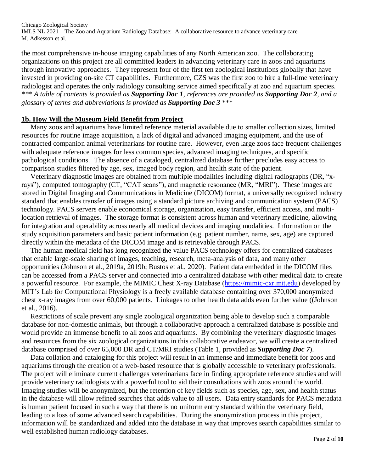the most comprehensive in-house imaging capabilities of any North American zoo. The collaborating organizations on this project are all committed leaders in advancing veterinary care in zoos and aquariums through innovative approaches. They represent four of the first ten zoological institutions globally that have invested in providing on-site CT capabilities. Furthermore, CZS was the first zoo to hire a full-time veterinary radiologist and operates the only radiology consulting service aimed specifically at zoo and aquarium species. *\*\*\* A table of contents is provided as Supporting Doc 1, references are provided as Supporting Doc 2, and a glossary of terms and abbreviations is provided as Supporting Doc 3* \*\*\*

#### **1b. How Will the Museum Field Benefit from Project**

 Many zoos and aquariums have limited reference material available due to smaller collection sizes, limited resources for routine image acquisition, a lack of digital and advanced imaging equipment, and the use of contracted companion animal veterinarians for routine care. However, even large zoos face frequent challenges with adequate reference images for less common species, advanced imaging techniques, and specific pathological conditions. The absence of a cataloged, centralized database further precludes easy access to comparison studies filtered by age, sex, imaged body region, and health state of the patient.

 Veterinary diagnostic images are obtained from multiple modalities including digital radiographs (DR, "xrays"), computed tomography (CT, "CAT scans"), and magnetic resonance (MR, "MRI"). These images are stored in Digital Imaging and Communications in Medicine (DICOM) format, a universally recognized industry standard that enables transfer of images using a standard picture archiving and communication system (PACS) technology. PACS servers enable economical storage, organization, easy transfer, efficient access, and multilocation retrieval of images. The storage format is consistent across human and veterinary medicine, allowing for integration and operability across nearly all medical devices and imaging modalities. Information on the study acquisition parameters and basic patient information (e.g. patient number, name, sex, age) are captured directly within the metadata of the DICOM image and is retrievable through PACS.

 The human medical field has long recognized the value PACS technology offers for centralized databases that enable large-scale sharing of images, teaching, research, meta-analysis of data, and many other opportunities (Johnson et al., 2019a, 2019b; Bustos et al., 2020). Patient data embedded in the DICOM files can be accessed from a PACS server and connected into a centralized database with other medical data to create a powerful resource. For example, the MIMIC Chest X-ray Database (https://mimic-cxr.mit.edu) developed by MIT's Lab for Computational Physiology is a freely available database containing over 370,000 anonymized chest x-ray images from over 60,000 patients. Linkages to other health data adds even further value ((Johnson et al., 2016).

 Restrictions of scale prevent any single zoological organization being able to develop such a comparable database for non-domestic animals, but through a collaborative approach a centralized database is possible and would provide an immense benefit to all zoos and aquariums. By combining the veterinary diagnostic images and resources from the six zoological organizations in this collaborative endeavor, we will create a centralized database comprised of over 65,000 DR and CT/MRI studies (Table 1, provided as *Supporting Doc 7*).

 Data collation and cataloging for this project will result in an immense and immediate benefit for zoos and aquariums through the creation of a web-based resource that is globally accessible to veterinary professionals. The project will eliminate current challenges veterinarians face in finding appropriate reference studies and will provide veterinary radiologists with a powerful tool to aid their consultations with zoos around the world. Imaging studies will be anonymized, but the retention of key fields such as species, age, sex, and health status in the database will allow refined searches that adds value to all users. Data entry standards for PACS metadata is human patient focused in such a way that there is no uniform entry standard within the veterinary field, leading to a loss of some advanced search capabilities. During the anonymization process in this project, information will be standardized and added into the database in way that improves search capabilities similar to well established human radiology databases.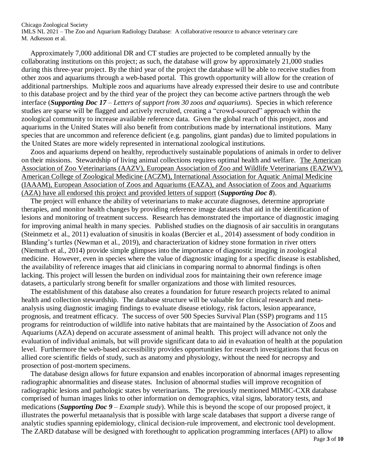Approximately 7,000 additional DR and CT studies are projected to be completed annually by the collaborating institutions on this project; as such, the database will grow by approximately 21,000 studies during this three-year project. By the third year of the project the database will be able to receive studies from other zoos and aquariums through a web-based portal. This growth opportunity will allow for the creation of additional partnerships. Multiple zoos and aquariums have already expressed their desire to use and contribute to this database project and by the third year of the project they can become active partners through the web interface (*Supporting Doc 17 – Letters of support from 30 zoos and aquariums*). Species in which reference studies are sparse will be flagged and actively recruited, creating a "crowd-sourced" approach within the zoological community to increase available reference data. Given the global reach of this project, zoos and aquariums in the United States will also benefit from contributions made by international institutions. Many species that are uncommon and reference deficient (e.g. pangolins, giant pandas) due to limited populations in the United States are more widely represented in international zoological institutions.

 Zoos and aquariums depend on healthy, reproductively sustainable populations of animals in order to deliver on their missions. Stewardship of living animal collections requires optimal health and welfare. The American Association of Zoo Veterinarians (AAZV), European Association of Zoo and Wildlife Veterinarians (EAZWV), American College of Zoological Medicine (ACZM), International Association for Aquatic Animal Medicine (IAAAM), European Association of Zoos and Aquariums (EAZA), and Association of Zoos and Aquariums (AZA) have all endorsed this project and provided letters of support (*Supporting Doc 8*).

 The project will enhance the ability of veterinarians to make accurate diagnoses, determine appropriate therapies, and monitor health changes by providing reference image datasets that aid in the identification of lesions and monitoring of treatment success. Research has demonstrated the importance of diagnostic imaging for improving animal health in many species. Published studies on the diagnosis of air sacculitis in orangutans (Steinmetz et al., 2011) evaluation of sinusitis in koalas (Bercier et al., 2014) assessment of body condition in Blanding's turtles (Newman et al., 2019), and characterization of kidney stone formation in river otters (Niemuth et al., 2014) provide simple glimpses into the importance of diagnostic imaging in zoological medicine. However, even in species where the value of diagnostic imaging for a specific disease is established, the availability of reference images that aid clinicians in comparing normal to abnormal findings is often lacking. This project will lessen the burden on individual zoos for maintaining their own reference image datasets, a particularly strong benefit for smaller organizations and those with limited resources.

 The establishment of this database also creates a foundation for future research projects related to animal health and collection stewardship. The database structure will be valuable for clinical research and metaanalysis using diagnostic imaging findings to evaluate disease etiology, risk factors, lesion appearance, prognosis, and treatment efficacy. The success of over 500 Species Survival Plan (SSP) programs and 115 programs for reintroduction of wildlife into native habitats that are maintained by the Association of Zoos and Aquariums (AZA) depend on accurate assessment of animal health. This project will advance not only the evaluation of individual animals, but will provide significant data to aid in evaluation of health at the population level. Furthermore the web-based accessibility provides opportunities for research investigations that focus on allied core scientific fields of study, such as anatomy and physiology, without the need for necropsy and prosection of post-mortem specimens.

 The database design allows for future expansion and enables incorporation of abnormal images representing radiographic abnormalities and disease states. Inclusion of abnormal studies will improve recognition of radiographic lesions and pathologic states by veterinarians. The previously mentioned MIMIC-CXR database comprised of human images links to other information on demographics, vital signs, laboratory tests, and medications (*Supporting Doc 9 – Example study*). While this is beyond the scope of our proposed project, it illustrates the powerful metaanalysis that is possible with large scale databases that support a diverse range of analytic studies spanning epidemiology, clinical decision-rule improvement, and electronic tool development. The ZARD database will be designed with forethought to application programming interfaces (API) to allow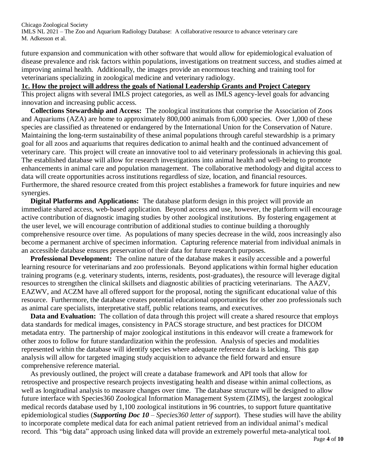future expansion and communication with other software that would allow for epidemiological evaluation of disease prevalence and risk factors within populations, investigations on treatment success, and studies aimed at improving animal health. Additionally, the images provide an enormous teaching and training tool for veterinarians specializing in zoological medicine and veterinary radiology.

#### **1c. How the project will address the goals of National Leadership Grants and Project Category**

This project aligns with several IMLS project categories, as well as IMLS agency-level goals for advancing innovation and increasing public access.

 **Collections Stewardship and Access:** The zoological institutions that comprise the Association of Zoos and Aquariums (AZA) are home to approximately 800,000 animals from 6,000 species. Over 1,000 of these species are classified as threatened or endangered by the International Union for the Conservation of Nature. Maintaining the long-term sustainability of these animal populations through careful stewardship is a primary goal for all zoos and aquariums that requires dedication to animal health and the continued advancement of veterinary care. This project will create an innovative tool to aid veterinary professionals in achieving this goal. The established database will allow for research investigations into animal health and well-being to promote enhancements in animal care and population management. The collaborative methodology and digital access to data will create opportunities across institutions regardless of size, location, and financial resources. Furthermore, the shared resource created from this project establishes a framework for future inquiries and new synergies.

 **Digital Platforms and Applications:** The database platform design in this project will provide an immediate shared access, web-based application. Beyond access and use, however, the platform will encourage active contribution of diagnostic imaging studies by other zoological institutions. By fostering engagement at the user level, we will encourage contribution of additional studies to continue building a thoroughly comprehensive resource over time. As populations of many species decrease in the wild, zoos increasingly also become a permanent archive of specimen information. Capturing reference material from individual animals in an accessible database ensures preservation of their data for future research purposes.

 **Professional Development:** The online nature of the database makes it easily accessible and a powerful learning resource for veterinarians and zoo professionals. Beyond applications within formal higher education training programs (e.g. veterinary students, interns, residents, post-graduates), the resource will leverage digital resources to strengthen the clinical skillsets and diagnostic abilities of practicing veterinarians. The AAZV, EAZWV, and ACZM have all offered support for the proposal, noting the significant educational value of this resource. Furthermore, the database creates potential educational opportunities for other zoo professionals such as animal care specialists, interpretative staff, public relations teams, and executives.

 **Data and Evaluation:** The collation of data through this project will create a shared resource that employs data standards for medical images, consistency in PACS storage structure, and best practices for DICOM metadata entry. The partnership of major zoological institutions in this endeavor will create a framework for other zoos to follow for future standardization within the profession. Analysis of species and modalities represented within the database will identify species where adequate reference data is lacking. This gap analysis will allow for targeted imaging study acquisition to advance the field forward and ensure comprehensive reference material.

 As previously outlined, the project will create a database framework and API tools that allow for retrospective and prospective research projects investigating health and disease within animal collections, as well as longitudinal analysis to measure changes over time. The database structure will be designed to allow future interface with Species360 Zoological Information Management System (ZIMS), the largest zoological medical records database used by 1,100 zoological institutions in 96 countries, to support future quantitative epidemiological studies (*Supporting Doc 10 – Species360 letter of support*). These studies will have the ability to incorporate complete medical data for each animal patient retrieved from an individual animal's medical record. This "big data" approach using linked data will provide an extremely powerful meta-analytical tool.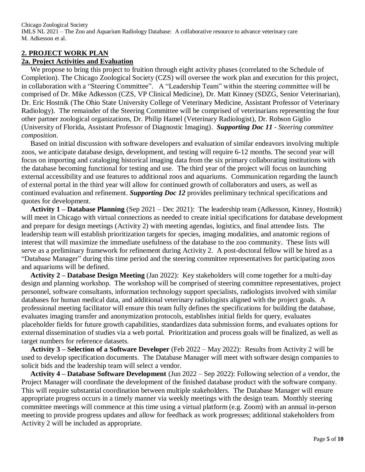## **2. PROJECT WORK PLAN**

#### **2a. Project Activities and Evaluation**

We propose to bring this project to fruition through eight activity phases (correlated to the Schedule of Completion). The Chicago Zoological Society (CZS) will oversee the work plan and execution for this project, in collaboration with a "Steering Committee". A "Leadership Team" within the steering committee will be comprised of Dr. Mike Adkesson (CZS, VP Clinical Medicine), Dr. Matt Kinney (SDZG, Senior Veterinarian), Dr. Eric Hostnik (The Ohio State University College of Veterinary Medicine, Assistant Professor of Veterinary Radiology). The remainder of the Steering Committee will be comprised of veterinarians representing the four other partner zoological organizations, Dr. Philip Hamel (Veterinary Radiologist), Dr. Robson Giglio (University of Florida, Assistant Professor of Diagnostic Imaging). *Supporting Doc 11 - Steering committee composition*.

 Based on initial discussion with software developers and evaluation of similar endeavors involving multiple zoos, we anticipate database design, development, and testing will require 6-12 months. The second year will focus on importing and cataloging historical imaging data from the six primary collaborating institutions with the database becoming functional for testing and use. The third year of the project will focus on launching external accessibility and use features to additional zoos and aquariums. Communication regarding the launch of external portal in the third year will allow for continued growth of collaborators and users, as well as continued evaluation and refinement. *Supporting Doc 12* provides preliminary technical specifications and quotes for development.

 **Activity 1 – Database Planning** (Sep 2021 – Dec 2021): The leadership team (Adkesson, Kinney, Hostnik) will meet in Chicago with virtual connections as needed to create initial specifications for database development and prepare for design meetings (Activity 2) with meeting agendas, logistics, and final attendee lists. The leadership team will establish prioritization targets for species, imaging modalities, and anatomic regions of interest that will maximize the immediate usefulness of the database to the zoo community. These lists will serve as a preliminary framework for refinement during Activity 2. A post-doctoral fellow will be hired as a "Database Manager" during this time period and the steering committee representatives for participating zoos and aquariums will be defined.

 **Activity 2 – Database Design Meeting** (Jan 2022): Key stakeholders will come together for a multi-day design and planning workshop. The workshop will be comprised of steering committee representatives, project personnel, software consultants, information technology support specialists, radiologists involved with similar databases for human medical data, and additional veterinary radiologists aligned with the project goals. A professional meeting facilitator will ensure this team fully defines the specifications for building the database, evaluates imaging transfer and anonymization protocols, establishes initial fields for query, evaluates placeholder fields for future growth capabilities, standardizes data submission forms, and evaluates options for external dissemination of studies via a web portal. Prioritization and process goals will be finalized, as well as target numbers for reference datasets.

 **Activity 3 – Selection of a Software Developer** (Feb 2022 – May 2022): Results from Activity 2 will be used to develop specification documents. The Database Manager will meet with software design companies to solicit bids and the leadership team will select a vendor.

 **Activity 4 – Database Software Development** (Jun 2022 – Sep 2022): Following selection of a vendor, the Project Manager will coordinate the development of the finished database product with the software company. This will require substantial coordination between multiple stakeholders. The Database Manager will ensure appropriate progress occurs in a timely manner via weekly meetings with the design team. Monthly steering committee meetings will commence at this time using a virtual platform (e.g. Zoom) with an annual in-person meeting to provide progress updates and allow for feedback as work progresses; additional stakeholders from Activity 2 will be included as appropriate.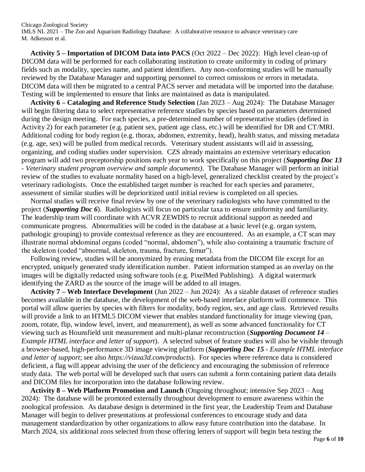**Activity 5 – Importation of DICOM Data into PACS** (Oct 2022 – Dec 2022): High level clean-up of DICOM data will be performed for each collaborating institution to create uniformity in coding of primary fields such as modality, species name, and patient identifiers. Any non-conforming studies will be manually reviewed by the Database Manager and supporting personnel to correct omissions or errors in metadata. DICOM data will then be migrated to a central PACS server and metadata will be imported into the database. Testing will be implemented to ensure that links are maintained as data is manipulated.

 **Activity 6 – Cataloging and Reference Study Selection** (Jan 2023 – Aug 2024): The Database Manager will begin filtering data to select representative reference studies by species based on parameters determined during the design meeting. For each species, a pre-determined number of representative studies (defined in Activity 2) for each parameter (e.g. patient sex, patient age class, etc.) will be identified for DR and CT/MRI. Additional coding for body region (e.g. thorax, abdomen, extremity, head), health status, and missing metadata (e.g. age, sex) will be pulled from medical records. Veterinary student assistants will aid in assessing, organizing, and coding studies under supervision. CZS already maintains an extensive veterinary education program will add two preceptorship positions each year to work specifically on this project (*Supporting Doc 13 - Veterinary student program overview and sample documents)*. The Database Manager will perform an initial review of the studies to evaluate normality based on a high-level, generalized checklist created by the project's veterinary radiologists. Once the established target number is reached for each species and parameter, assessment of similar studies will be deprioritized until initial review is completed on all species.

 Normal studies will receive final review by one of the veterinary radiologists who have committed to the project (*Supporting Doc 6*). Radiologists will focus on particular taxa to ensure uniformity and familiarity. The leadership team will coordinate with ACVR ZEWDIS to recruit additional support as needed and communicate progress. Abnormalities will be coded in the database at a basic level (e.g. organ system, pathologic grouping) to provide contextual reference as they are encountered. As an example, a CT scan may illustrate normal abdominal organs (coded "normal, abdomen"), while also containing a traumatic fracture of the skeleton (coded "abnormal, skeleton, trauma, fracture, femur").

 Following review, studies will be anonymized by erasing metadata from the DICOM file except for an encrypted, uniquely generated study identification number. Patient information stamped as an overlay on the images will be digitally redacted using software tools (e.g. PixelMed Publishing). A digital watermark identifying the ZARD as the source of the image will be added to all images.

 **Activity 7 – Web Interface Development** (Jun 2022 – Jun 2024): As a sizable dataset of reference studies becomes available in the database, the development of the web-based interface platform will commence. This portal will allow queries by species with filters for modality, body region, sex, and age class. Retrieved results will provide a link to an HTML5 DICOM viewer that enables standard functionality for image viewing (pan, zoom, rotate, flip, window level, invert, and measurement), as well as some advanced functionality for CT viewing such as Hounsfield unit measurement and multi-planar reconstruction (*Supporting Document 14 – Example HTML interface and letter of support*). A selected subset of feature studies will also be visible through a browser-based, high-performance 3D image viewing platform (*Supporting Doc 15 - Example HTML interface and letter of support*; see also *https://vizua3d.com/products*). For species where reference data is considered deficient, a flag will appear advising the user of the deficiency and encouraging the submission of reference study data. The web portal will be developed such that users can submit a form containing patient data details and DICOM files for incorporation into the database following review.

 **Activity 8 – Web Platform Promotion and Launch** (Ongoing throughout; intensive Sep 2023 – Aug 2024): The database will be promoted externally throughout development to ensure awareness within the zoological profession. As database design is determined in the first year, the Leadership Team and Database Manager will begin to deliver presentations at professional conferences to encourage study and data management standardization by other organizations to allow easy future contribution into the database. In March 2024, six additional zoos selected from those offering letters of support will begin beta testing the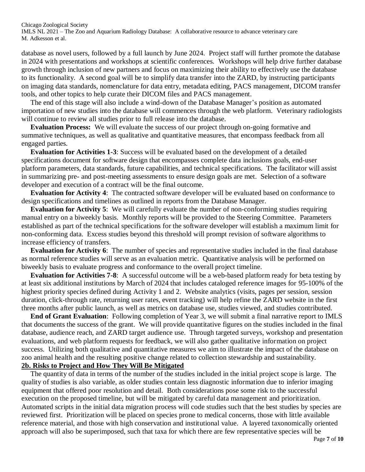database as novel users, followed by a full launch by June 2024. Project staff will further promote the database in 2024 with presentations and workshops at scientific conferences. Workshops will help drive further database growth through inclusion of new partners and focus on maximizing their ability to effectively use the database to its functionality. A second goal will be to simplify data transfer into the ZARD, by instructing participants on imaging data standards, nomenclature for data entry, metadata editing, PACS management, DICOM transfer tools, and other topics to help curate their DICOM files and PACS management.

 The end of this stage will also include a wind-down of the Database Manager's position as automated importation of new studies into the database will commences through the web platform. Veterinary radiologists will continue to review all studies prior to full release into the database.

 **Evaluation Process:** We will evaluate the success of our project through on-going formative and summative techniques, as well as qualitative and quantitative measures, that encompass feedback from all engaged parties.

 **Evaluation for Activities 1-3**: Success will be evaluated based on the development of a detailed specifications document for software design that encompasses complete data inclusions goals, end-user platform parameters, data standards, future capabilities, and technical specifications. The facilitator will assist in summarizing pre- and post-meeting assessments to ensure design goals are met. Selection of a software developer and execution of a contract will be the final outcome.

 **Evaluation for Activity 4**: The contracted software developer will be evaluated based on conformance to design specifications and timelines as outlined in reports from the Database Manager.

 **Evaluation for Activity 5**: We will carefully evaluate the number of non-conforming studies requiring manual entry on a biweekly basis. Monthly reports will be provided to the Steering Committee. Parameters established as part of the technical specifications for the software developer will establish a maximum limit for non-conforming data. Excess studies beyond this threshold will prompt revision of software algorithms to increase efficiency of transfers.

 **Evaluation for Activity 6**: The number of species and representative studies included in the final database as normal reference studies will serve as an evaluation metric. Quantitative analysis will be performed on biweekly basis to evaluate progress and conformance to the overall project timeline.

 **Evaluation for Activities 7-8**: A successful outcome will be a web-based platform ready for beta testing by at least six additional institutions by March of 2024 that includes cataloged reference images for 95-100% of the highest priority species defined during Activity 1 and 2. Website analytics (visits, pages per session, session duration, click-through rate, returning user rates, event tracking) will help refine the ZARD website in the first three months after public launch, as well as metrics on database use, studies viewed, and studies contributed.

 **End of Grant Evaluation**: Following completion of Year 3, we will submit a final narrative report to IMLS that documents the success of the grant. We will provide quantitative figures on the studies included in the final database, audience reach, and ZARD target audience use. Through targeted surveys, workshop and presentation evaluations, and web platform requests for feedback, we will also gather qualitative information on project success. Utilizing both qualitative and quantitative measures we aim to illustrate the impact of the database on zoo animal health and the resulting positive change related to collection stewardship and sustainability.

## **2b. Risks to Project and How They Will Be Mitigated**

The quantity of data in terms of the number of the studies included in the initial project scope is large. The quality of studies is also variable, as older studies contain less diagnostic information due to inferior imaging equipment that offered poor resolution and detail. Both considerations pose some risk to the successful execution on the proposed timeline, but will be mitigated by careful data management and prioritization. Automated scripts in the initial data migration process will code studies such that the best studies by species are reviewed first. Prioritization will be placed on species prone to medical concerns, those with little available reference material, and those with high conservation and institutional value. A layered taxonomically oriented approach will also be superimposed, such that taxa for which there are few representative species will be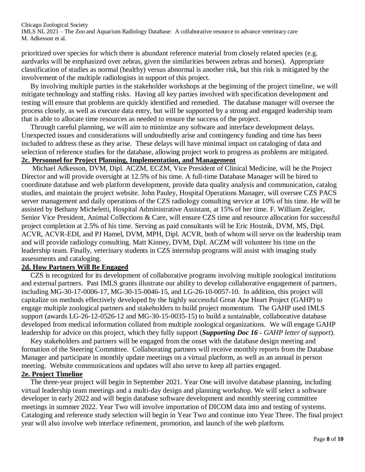prioritized over species for which there is abundant reference material from closely related species (e.g. aardvarks will be emphasized over zebras, given the similarities between zebras and horses). Appropriate classification of studies as normal (healthy) versus abnormal is another risk, but this risk is mitigated by the involvement of the multiple radiologists in support of this project.

 By involving multiple parties in the stakeholder workshops at the beginning of the project timeline, we will mitigate technology and staffing risks. Having all key parties involved with specification development and testing will ensure that problems are quickly identified and remedied. The database manager will oversee the process closely, as well as execute data entry, but will be supported by a strong and engaged leadership team that is able to allocate time resources as needed to ensure the success of the project.

 Through careful planning, we will aim to minimize any software and interface development delays. Unexpected issues and considerations will undoubtedly arise and contingency funding and time has been included to address these as they arise. These delays will have minimal impact on cataloging of data and selection of reference studies for the database, allowing project work to progress as problems are mitigated.

#### **2c. Personnel for Project Planning, Implementation, and Management**

 Michael Adkesson, DVM, Dipl. ACZM, ECZM, Vice President of Clinical Medicine, will be the Project Director and will provide oversight at 12.5% of his time. A full-time Database Manager will be hired to coordinate database and web platform development, provide data quality analysis and communication, catalog studies, and maintain the project website. John Pauley, Hospital Operations Manager, will oversee CZS PACS server management and daily operations of the CZS radiology consulting service at 10% of his time. He will be assisted by Bethany Micheletti, Hospital Administrative Assistant, at 15% of her time. F. William Zeigler, Senior Vice President, Animal Collections & Care, will ensure CZS time and resource allocation for successful project completion at 2.5% of his time. Serving as paid consultants will be Eric Hostnik, DVM, MS, Dipl. ACVR, ACVR-EDI, and PJ Hamel, DVM, MPH, Dipl. ACVR, both of whom will serve on the leadership team and will provide radiology consulting. Matt Kinney, DVM, Dipl. ACZM will volunteer his time on the leadership team. Finally, veterinary students in CZS internship programs will assist with imaging study assessments and cataloging.

#### **2d. How Partners Will Be Engaged**

CZS is recognized for its development of collaborative programs involving multiple zoological institutions and external partners. Past IMLS grants illustrate our ability to develop collaborative engagement of partners, including MG-30-17-0006-17, MG-30-15-0046-15, and LG-26-10-0057-10. In addition, this project will capitalize on methods effectively developed by the highly successful Great Ape Heart Project (GAHP) to engage multiple zoological partners and stakeholders to build project momentum. The GAHP used IMLS support (awards LG-26-12-0526-12 and MG-30-15-0035-15) to build a sustainable, collaborative database developed from medical information collated from multiple zoological organizations. We will engage GAHP leadership for advice on this project, which they fully support (*Supporting Doc 16 - GAHP letter of support*).

 Key stakeholders and partners will be engaged from the onset with the database design meeting and formation of the Steering Committee. Collaborating partners will receive monthly reports from the Database Manager and participate in monthly update meetings on a virtual platform, as well as an annual in person meeting. Website communications and updates will also serve to keep all parties engaged.

#### **2e. Project Timeline**

 The three-year project will begin in September 2021. Year One will involve database planning, including virtual leadership team meetings and a multi-day design and planning workshop. We will select a software developer in early 2022 and will begin database software development and monthly steering committee meetings in summer 2022. Year Two will involve importation of DICOM data into and testing of systems. Cataloging and reference study selection will begin in Year Two and continue into Year Three. The final project year will also involve web interface refinement, promotion, and launch of the web platform.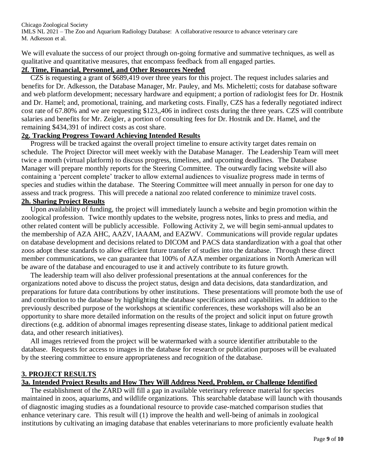We will evaluate the success of our project through on-going formative and summative techniques, as well as qualitative and quantitative measures, that encompass feedback from all engaged parties.

#### **2f. Time, Financial, Personnel, and Other Resources Needed**

 CZS is requesting a grant of \$689,419 over three years for this project. The request includes salaries and benefits for Dr. Adkesson, the Database Manager, Mr. Pauley, and Ms. Micheletti; costs for database software and web platform development; necessary hardware and equipment; a portion of radiologist fees for Dr. Hostnik and Dr. Hamel; and, promotional, training, and marketing costs. Finally, CZS has a federally negotiated indirect cost rate of 67.80% and we are requesting \$123,,406 in indirect costs during the three years. CZS will contribute salaries and benefits for Mr. Zeigler, a portion of consulting fees for Dr. Hostnik and Dr. Hamel, and the remaining \$434,391 of indirect costs as cost share.

#### **2g. Tracking Progress Toward Achieving Intended Results**

 Progress will be tracked against the overall project timeline to ensure activity target dates remain on schedule. The Project Director will meet weekly with the Database Manager. The Leadership Team will meet twice a month (virtual platform) to discuss progress, timelines, and upcoming deadlines. The Database Manager will prepare monthly reports for the Steering Committee. The outwardly facing website will also containing a 'percent complete' tracker to allow external audiences to visualize progress made in terms of species and studies within the database. The Steering Committee will meet annually in person for one day to assess and track progress. This will precede a national zoo related conference to minimize travel costs. **2h. Sharing Project Results**

#### Upon availability of funding, the project will immediately launch a website and begin promotion within the zoological profession. Twice monthly updates to the website, progress notes, links to press and media, and other related content will be publicly accessible. Following Activity 2, we will begin semi-annual updates to the membership of AZA AHC, AAZV, IAAAM, and EAZWV. Communications will provide regular updates on database development and decisions related to DICOM and PACS data standardization with a goal that other zoos adopt these standards to allow efficient future transfer of studies into the database. Through these direct member communications, we can guarantee that 100% of AZA member organizations in North American will be aware of the database and encouraged to use it and actively contribute to its future growth.

 The leadership team will also deliver professional presentations at the annual conferences for the organizations noted above to discuss the project status, design and data decisions, data standardization, and preparations for future data contributions by other institutions. These presentations will promote both the use of and contribution to the database by highlighting the database specifications and capabilities. In addition to the previously described purpose of the workshops at scientific conferences, these workshops will also be an opportunity to share more detailed information on the results of the project and solicit input on future growth directions (e.g. addition of abnormal images representing disease states, linkage to additional patient medical data, and other research initiatives).

 All images retrieved from the project will be watermarked with a source identifier attributable to the database. Requests for access to images in the database for research or publication purposes will be evaluated by the steering committee to ensure appropriateness and recognition of the database.

#### **3. PROJECT RESULTS**

#### **3a. Intended Project Results and How They Will Address Need, Problem, or Challenge Identified**

The establishment of the ZARD will fill a gap in available veterinary reference material for species maintained in zoos, aquariums, and wildlife organizations. This searchable database will launch with thousands of diagnostic imaging studies as a foundational resource to provide case-matched comparison studies that enhance veterinary care. This result will (1) improve the health and well-being of animals in zoological institutions by cultivating an imaging database that enables veterinarians to more proficiently evaluate health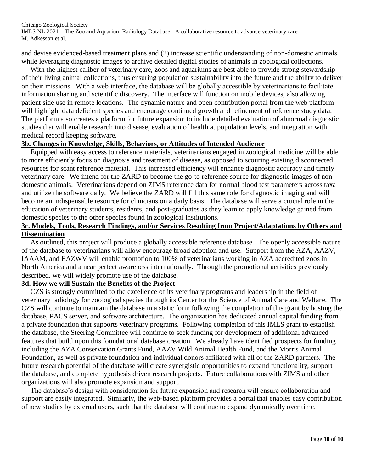and devise evidenced-based treatment plans and (2) increase scientific understanding of non-domestic animals while leveraging diagnostic images to archive detailed digital studies of animals in zoological collections.

With the highest caliber of veterinary care, zoos and aquariums are best able to provide strong stewardship of their living animal collections, thus ensuring population sustainability into the future and the ability to deliver on their missions. With a web interface, the database will be globally accessible by veterinarians to facilitate information sharing and scientific discovery. The interface will function on mobile devices, also allowing patient side use in remote locations. The dynamic nature and open contribution portal from the web platform will highlight data deficient species and encourage continued growth and refinement of reference study data. The platform also creates a platform for future expansion to include detailed evaluation of abnormal diagnostic studies that will enable research into disease, evaluation of health at population levels, and integration with medical record keeping software.

#### **3b. Changes in Knowledge, Skills, Behaviors, or Attitudes of Intended Audience**

 Equipped with easy access to reference materials, veterinarians engaged in zoological medicine will be able to more efficiently focus on diagnosis and treatment of disease, as opposed to scouring existing disconnected resources for scant reference material. This increased efficiency will enhance diagnostic accuracy and timely veterinary care. We intend for the ZARD to become the go-to reference source for diagnostic images of nondomestic animals. Veterinarians depend on ZIMS reference data for normal blood test parameters across taxa and utilize the software daily. We believe the ZARD will fill this same role for diagnostic imaging and will become an indispensable resource for clinicians on a daily basis. The database will serve a crucial role in the education of veterinary students, residents, and post-graduates as they learn to apply knowledge gained from domestic species to the other species found in zoological institutions.

#### **3c. Models, Tools, Research Findings, and/or Services Resulting from Project/Adaptations by Others and Dissemination**

 As outlined, this project will produce a globally accessible reference database. The openly accessible nature of the database to veterinarians will allow encourage broad adoption and use. Support from the AZA, AAZV, IAAAM, and EAZWV will enable promotion to 100% of veterinarians working in AZA accredited zoos in North America and a near perfect awareness internationally. Through the promotional activities previously described, we will widely promote use of the database.

#### **3d. How we will Sustain the Benefits of the Project**

 CZS is strongly committed to the excellence of its veterinary programs and leadership in the field of veterinary radiology for zoological species through its Center for the Science of Animal Care and Welfare. The CZS will continue to maintain the database in a static form following the completion of this grant by hosting the database, PACS server, and software architecture. The organization has dedicated annual capital funding from a private foundation that supports veterinary programs. Following completion of this IMLS grant to establish the database, the Steering Committee will continue to seek funding for development of additional advanced features that build upon this foundational database creation. We already have identified prospects for funding including the AZA Conservation Grants Fund, AAZV Wild Animal Health Fund, and the Morris Animal Foundation, as well as private foundation and individual donors affiliated with all of the ZARD partners. The future research potential of the database will create synergistic opportunities to expand functionality, support the database, and complete hypothesis driven research projects. Future collaborations with ZIMS and other organizations will also promote expansion and support.

 The database's design with consideration for future expansion and research will ensure collaboration and support are easily integrated. Similarly, the web-based platform provides a portal that enables easy contribution of new studies by external users, such that the database will continue to expand dynamically over time.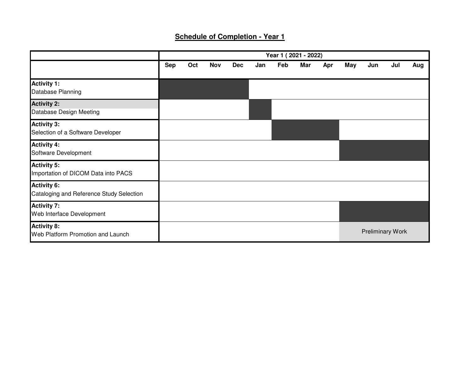## **Schedule of Completion - Year 1**

|                                                                | Year 1 (2021 - 2022) |     |            |            |     |     |     |     |     |     |                         |     |
|----------------------------------------------------------------|----------------------|-----|------------|------------|-----|-----|-----|-----|-----|-----|-------------------------|-----|
|                                                                | <b>Sep</b>           | Oct | <b>Nov</b> | <b>Dec</b> | Jan | Feb | Mar | Apr | May | Jun | Jul                     | Aug |
| <b>Activity 1:</b><br>Database Planning                        |                      |     |            |            |     |     |     |     |     |     |                         |     |
| <b>Activity 2:</b><br>Database Design Meeting                  |                      |     |            |            |     |     |     |     |     |     |                         |     |
| <b>Activity 3:</b><br>Selection of a Software Developer        |                      |     |            |            |     |     |     |     |     |     |                         |     |
| <b>Activity 4:</b><br>Software Development                     |                      |     |            |            |     |     |     |     |     |     |                         |     |
| <b>Activity 5:</b><br>Importation of DICOM Data into PACS      |                      |     |            |            |     |     |     |     |     |     |                         |     |
| <b>Activity 6:</b><br>Cataloging and Reference Study Selection |                      |     |            |            |     |     |     |     |     |     |                         |     |
| <b>Activity 7:</b><br>Web Interface Development                |                      |     |            |            |     |     |     |     |     |     |                         |     |
| <b>Activity 8:</b><br>Web Platform Promotion and Launch        |                      |     |            |            |     |     |     |     |     |     | <b>Preliminary Work</b> |     |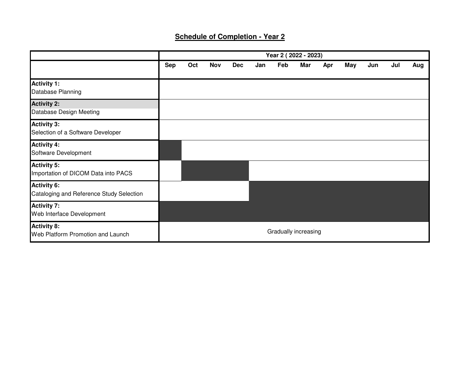## **Schedule of Completion - Year 2**

|                                                                |            | Year 2 (2022 - 2023) |            |            |     |     |                      |     |     |     |     |     |
|----------------------------------------------------------------|------------|----------------------|------------|------------|-----|-----|----------------------|-----|-----|-----|-----|-----|
|                                                                | <b>Sep</b> | Oct                  | <b>Nov</b> | <b>Dec</b> | Jan | Feb | Mar                  | Apr | May | Jun | Jul | Aug |
| <b>Activity 1:</b><br>Database Planning                        |            |                      |            |            |     |     |                      |     |     |     |     |     |
| <b>Activity 2:</b><br>Database Design Meeting                  |            |                      |            |            |     |     |                      |     |     |     |     |     |
| <b>Activity 3:</b><br>Selection of a Software Developer        |            |                      |            |            |     |     |                      |     |     |     |     |     |
| <b>Activity 4:</b><br>Software Development                     |            |                      |            |            |     |     |                      |     |     |     |     |     |
| <b>Activity 5:</b><br>Importation of DICOM Data into PACS      |            |                      |            |            |     |     |                      |     |     |     |     |     |
| <b>Activity 6:</b><br>Cataloging and Reference Study Selection |            |                      |            |            |     |     |                      |     |     |     |     |     |
| <b>Activity 7:</b><br>Web Interface Development                |            |                      |            |            |     |     |                      |     |     |     |     |     |
| <b>Activity 8:</b><br>Web Platform Promotion and Launch        |            |                      |            |            |     |     | Gradually increasing |     |     |     |     |     |